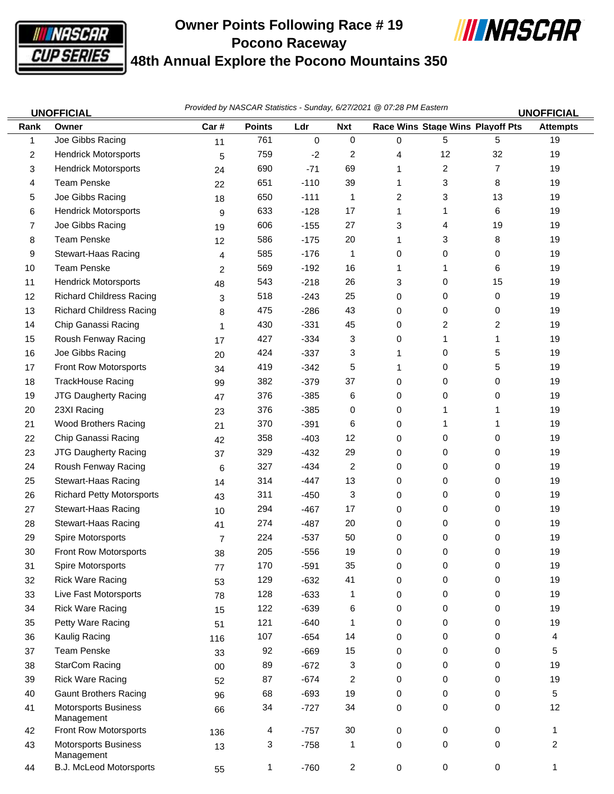

## **Owner Points Following Race # 19 Pocono Raceway 48th Annual Explore the Pocono Mountains 350**



|      | <b>UNOFFICIAL</b>                         | Provided by NASCAR Statistics - Sunday, 6/27/2021 @ 07:28 PM Eastern<br><b>UNOFFICIAL</b> |               |             |                |   |                                  |                |                 |
|------|-------------------------------------------|-------------------------------------------------------------------------------------------|---------------|-------------|----------------|---|----------------------------------|----------------|-----------------|
| Rank | Owner                                     | Car#                                                                                      | <b>Points</b> | Ldr         | <b>Nxt</b>     |   | Race Wins Stage Wins Playoff Pts |                | <b>Attempts</b> |
| 1    | Joe Gibbs Racing                          | 11                                                                                        | 761           | $\mathbf 0$ | $\pmb{0}$      | 0 | 5                                | 5              | 19              |
| 2    | <b>Hendrick Motorsports</b>               | 5                                                                                         | 759           | $-2$        | 2              | 4 | 12                               | 32             | 19              |
| 3    | <b>Hendrick Motorsports</b>               | 24                                                                                        | 690           | $-71$       | 69             | 1 | $\overline{c}$                   | $\overline{7}$ | 19              |
| 4    | <b>Team Penske</b>                        | 22                                                                                        | 651           | $-110$      | 39             | 1 | 3                                | 8              | 19              |
| 5    | Joe Gibbs Racing                          | 18                                                                                        | 650           | $-111$      | 1              | 2 | 3                                | 13             | 19              |
| 6    | <b>Hendrick Motorsports</b>               | 9                                                                                         | 633           | $-128$      | 17             | 1 | 1                                | 6              | 19              |
| 7    | Joe Gibbs Racing                          | 19                                                                                        | 606           | $-155$      | 27             | 3 | 4                                | 19             | 19              |
| 8    | <b>Team Penske</b>                        | 12                                                                                        | 586           | $-175$      | 20             | 1 | 3                                | 8              | 19              |
| 9    | Stewart-Haas Racing                       | 4                                                                                         | 585           | $-176$      | 1              | 0 | 0                                | 0              | 19              |
| 10   | <b>Team Penske</b>                        | 2                                                                                         | 569           | $-192$      | 16             | 1 | 1                                | 6              | 19              |
| 11   | <b>Hendrick Motorsports</b>               | 48                                                                                        | 543           | $-218$      | 26             | 3 | 0                                | 15             | 19              |
| 12   | <b>Richard Childress Racing</b>           | 3                                                                                         | 518           | $-243$      | 25             | 0 | 0                                | 0              | 19              |
| 13   | <b>Richard Childress Racing</b>           | 8                                                                                         | 475           | $-286$      | 43             | 0 | 0                                | 0              | 19              |
| 14   | Chip Ganassi Racing                       | 1                                                                                         | 430           | $-331$      | 45             | 0 | 2                                | 2              | 19              |
| 15   | Roush Fenway Racing                       | 17                                                                                        | 427           | $-334$      | 3              | 0 | 1                                | 1              | 19              |
| 16   | Joe Gibbs Racing                          | 20                                                                                        | 424           | $-337$      | 3              | 1 | 0                                | 5              | 19              |
| 17   | Front Row Motorsports                     | 34                                                                                        | 419           | $-342$      | 5              | 1 | 0                                | 5              | 19              |
| 18   | TrackHouse Racing                         | 99                                                                                        | 382           | $-379$      | 37             | 0 | 0                                | 0              | 19              |
| 19   | <b>JTG Daugherty Racing</b>               | 47                                                                                        | 376           | $-385$      | 6              | 0 | 0                                | 0              | 19              |
| 20   | 23XI Racing                               | 23                                                                                        | 376           | $-385$      | 0              | 0 | 1                                | 1              | 19              |
| 21   | <b>Wood Brothers Racing</b>               | 21                                                                                        | 370           | $-391$      | 6              | 0 | 1                                | 1              | 19              |
| 22   | Chip Ganassi Racing                       | 42                                                                                        | 358           | $-403$      | 12             | 0 | 0                                | 0              | 19              |
| 23   | <b>JTG Daugherty Racing</b>               | 37                                                                                        | 329           | $-432$      | 29             | 0 | 0                                | 0              | 19              |
| 24   | Roush Fenway Racing                       | 6                                                                                         | 327           | $-434$      | 2              | 0 | 0                                | 0              | 19              |
| 25   | Stewart-Haas Racing                       | 14                                                                                        | 314           | $-447$      | 13             | 0 | 0                                | 0              | 19              |
| 26   | <b>Richard Petty Motorsports</b>          | 43                                                                                        | 311           | $-450$      | 3              | 0 | 0                                | 0              | 19              |
| 27   | Stewart-Haas Racing                       | 10                                                                                        | 294           | $-467$      | 17             | 0 | 0                                | 0              | 19              |
| 28   | Stewart-Haas Racing                       | 41                                                                                        | 274           | -487        | 20             | 0 | 0                                | 0              | 19              |
| 29   | Spire Motorsports                         | 7                                                                                         | 224           | $-537$      | 50             | 0 | 0                                | 0              | 19              |
| 30   | Front Row Motorsports                     | 38                                                                                        | 205           | $-556$      | 19             | 0 | 0                                | 0              | 19              |
| 31   | Spire Motorsports                         | 77                                                                                        | 170           | $-591$      | 35             | 0 | 0                                | 0              | 19              |
| 32   | <b>Rick Ware Racing</b>                   | 53                                                                                        | 129           | $-632$      | 41             | 0 | 0                                | 0              | 19              |
| 33   | Live Fast Motorsports                     | 78                                                                                        | 128           | $-633$      | 1              | 0 | 0                                | 0              | 19              |
| 34   | <b>Rick Ware Racing</b>                   | 15                                                                                        | 122           | $-639$      | 6              | 0 | 0                                | 0              | 19              |
| 35   | Petty Ware Racing                         | 51                                                                                        | 121           | $-640$      | 1              | 0 | 0                                | 0              | 19              |
| 36   | Kaulig Racing                             | 116                                                                                       | 107           | $-654$      | 14             | 0 | 0                                | 0              | 4               |
| 37   | <b>Team Penske</b>                        | 33                                                                                        | 92            | $-669$      | 15             | 0 | 0                                | 0              | 5               |
| 38   | <b>StarCom Racing</b>                     | 00                                                                                        | 89            | $-672$      | 3              | 0 | 0                                | 0              | 19              |
| 39   | <b>Rick Ware Racing</b>                   | 52                                                                                        | 87            | $-674$      | 2              | 0 | 0                                | 0              | 19              |
| 40   | <b>Gaunt Brothers Racing</b>              | 96                                                                                        | 68            | $-693$      | 19             | 0 | 0                                | 0              | 5               |
| 41   | <b>Motorsports Business</b><br>Management | 66                                                                                        | 34            | $-727$      | 34             | 0 | 0                                | 0              | 12              |
| 42   | Front Row Motorsports                     | 136                                                                                       | 4             | $-757$      | $30\,$         | 0 | $\mathbf 0$                      | 0              | 1               |
| 43   | <b>Motorsports Business</b><br>Management | 13                                                                                        | 3             | $-758$      | 1              | 0 | 0                                | 0              | $\overline{c}$  |
| 44   | <b>B.J. McLeod Motorsports</b>            | 55                                                                                        | 1             | $-760$      | $\overline{a}$ | 0 | $\mathbf 0$                      | 0              | $\mathbf{1}$    |